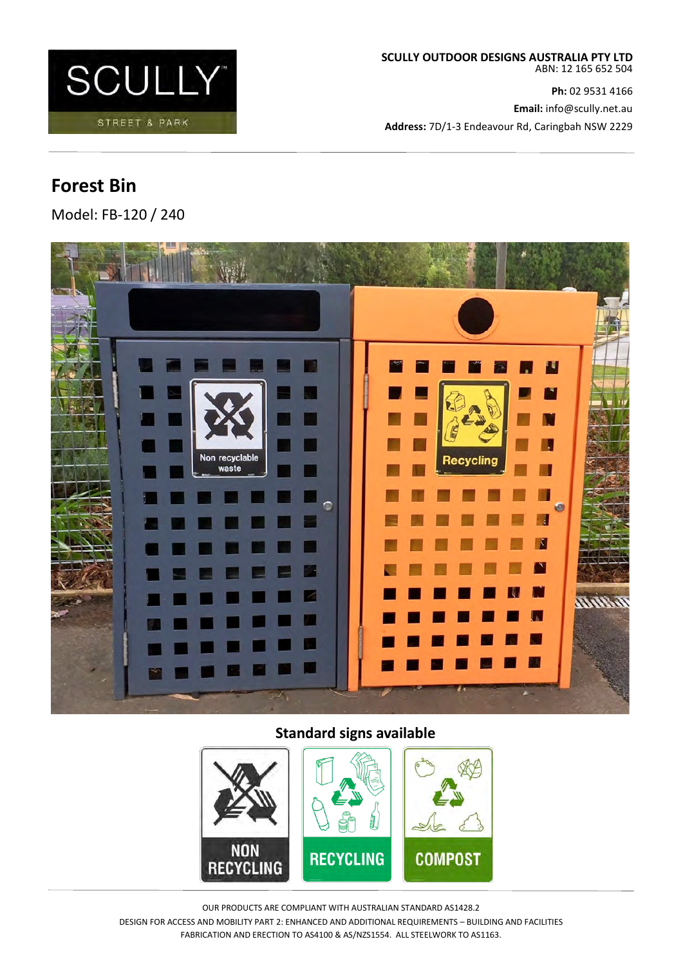

**Ph:** 02 9531 4166 **Email:** info@scully.net.au **Address:** 7D/1-3 Endeavour Rd, Caringbah NSW 2229

# **Forest Bin**

Model: FB-120 / 240



# **Standard signs available**



OUR PRODUCTS ARE COMPLIANT WITH AUSTRALIAN STANDARD AS1428.2 DESIGN FOR ACCESS AND MOBILITY PART 2: ENHANCED AND ADDITIONAL REQUIREMENTS – BUILDING AND FACILITIES FABRICATION AND ERECTION TO AS4100 & AS/NZS1554. ALL STEELWORK TO AS1163.